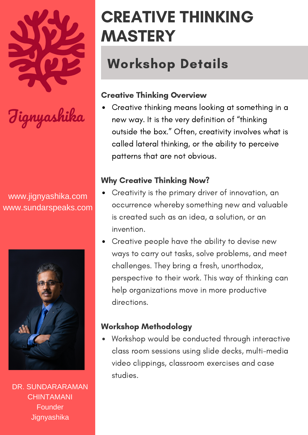

www.jignyashika.com www.sundarspeaks.com



DR. SUNDARARAMAN **CHINTAMANI** Founder **Jignyashika** 

# CREATIVE THINKING MASTERY

## Workshop Details

## Creative Thinking Overview

Creative thinking means looking at something in a new way. It is the very definition of "thinking outside the box." Often, creativity involves what is called lateral thinking, or the ability to perceive patterns that are not obvious.

## Why Creative Thinking Now?

- Creativity is the primary driver of innovation, an occurrence whereby something new and valuable is created such as an idea, a solution, or an invention.
- Creative people have the ability to devise new ways to carry out tasks, solve problems, and meet challenges. They bring a fresh, unorthodox, perspective to their work. This way of thinking can help organizations move in more productive directions.

#### Workshop Methodology

Workshop would be conducted through interactive class room sessions using slide decks, multi-media video clippings, classroom exercises and case studies.